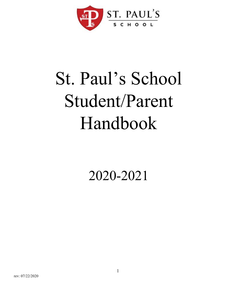

# St. Paul's School Student/Parent Handbook

2020-2021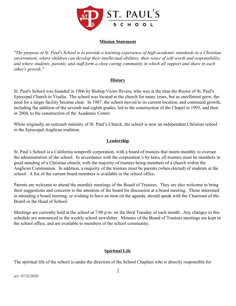

#### **Mission Statement**

*"The purpose of St. Paul's School is to provide a learning experience of high academic standards in a Christian environment, where children can develop their intellectual abilities, their sense of self-worth and responsibility, and where students, parents, and staff form a close caring community in which all support and share in each other's growth."*

#### **History**

St. Paul's School was founded in 1966 by Bishop Victor Rivera, who was at the time the Rector of St. Paul's Episcopal Church in Visalia. The school was located at the church for many years, but as enrollment grew, the need for a larger facility became clear. In 1987, the school moved to its current location, and continued growth, including the addition of the seventh and eighth grades, led to the construction of the Chapel in 1993, and then in 2004, to the construction of the Academic Center.

While originally an outreach ministry of St. Paul's Church, the school is now an independent Christian school in the Episcopal-Anglican tradition.

#### **Leadership**

St. Paul's School is a California nonprofit corporation, with a board of trustees that meets monthly to oversee the administration of the school. In accordance with the corporation's by-laws, all trustees must be members in good standing of a Christian church, with the majority of trustees being members of a church within the Anglican Communion. In addition, a majority of the trustees must be parents (when elected) of students at the school. A list of the current board members is available in the school office.

Parents are welcome to attend the monthly meetings of the Board of Trustees. They are also welcome to bring their suggestions and concerns to the attention of the board for discussion at a board meeting. Those interested in attending a board meeting, or wishing to have an item on the agenda, should speak with the Chairman of the Board or the Head of School.

Meetings are currently held at the school at 7:00 p.m. on the third Tuesday of each month. Any changes in this schedule are announced in the weekly school newsletter. Minutes of the Board of Trustees meetings are kept in the school office, and are available to members of the school community.

#### **Spiritual Life**

The spiritual life of the school is under the direction of the School Chaplain who is directly responsible for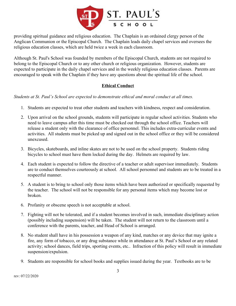

providing spiritual guidance and religious education. The Chaplain is an ordained clergy person of the Anglican Communion or the Episcopal Church. The Chaplain leads daily chapel services and oversees the religious education classes, which are held twice a week in each classroom.

Although St. Paul's School was founded by members of the Episcopal Church, students are not required to belong to the Episcopal Church or to any other church or religious organization. However, students are expected to participate in the daily chapel services and in the weekly religious education classes. Parents are encouraged to speak with the Chaplain if they have any questions about the spiritual life of the school.

# **Ethical Conduct**

*Students at St. Paul's School are expected to demonstrate ethical and moral conduct at all times.*

- 1. Students are expected to treat other students and teachers with kindness, respect and consideration.
- 2. Upon arrival on the school grounds, students will participate in regular school activities. Students who need to leave campus after this time must be checked out through the school office. Teachers will release a student only with the clearance of office personnel. This includes extra-curricular events and activities. All students must be picked up and signed out in the school office or they will be considered unexcused.
- 3. Bicycles, skateboards, and inline skates are not to be used on the school property. Students riding bicycles to school must have them locked during the day. Helmets are required by law.
- 4. Each student is expected to follow the directive of a teacher or adult supervisor immediately. Students are to conduct themselves courteously at school. All school personnel and students are to be treated in a respectful manner.
- 5. A student is to bring to school only those items which have been authorized or specifically requested by the teacher. The school will not be responsible for any personal items which may become lost or broken.
- 6. Profanity or obscene speech is not acceptable at school.
- 7. Fighting will not be tolerated, and if a student becomes involved in such, immediate disciplinary action (possibly including suspension) will be taken. The student will not return to the classroom until a conference with the parents, teacher, and Head of School is arranged.
- 8. No student shall have in his possession a weapon of any kind, matches or any device that may ignite a fire, any form of tobacco, or any drug substance while in attendance at St. Paul's School or any related activity; school dances, field trips, sporting events, etc.. Infraction of this policy will result in immediate suspension/expulsion.
- 9. Students are responsible for school books and supplies issued during the year. Textbooks are to be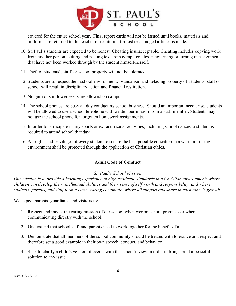

covered for the entire school year. Final report cards will not be issued until books, materials and uniforms are returned to the teacher or restitution for lost or damaged articles is made.

- 10. St. Paul's students are expected to be honest. Cheating is unacceptable. Cheating includes copying work from another person, cutting and pasting text from computer sites, plagiarizing or turning in assignments that have not been worked through by the student himself/herself.
- 11. Theft of students', staff, or school property will not be tolerated.
- 12. Students are to respect their school environment. Vandalism and defacing property of students, staff or school will result in disciplinary action and financial restitution.
- 13. No gum or sunflower seeds are allowed on campus.
- 14. The school phones are busy all day conducting school business. Should an important need arise, students will be allowed to use a school telephone with written permission from a staff member. Students may not use the school phone for forgotten homework assignments.
- 15. In order to participate in any sports or extracurricular activities, including school dances, a student is required to attend school that day.
- 16. All rights and privileges of every student to secure the best possible education in a warm nurturing environment shall be protected through the application of Christian ethics.

#### **Adult Code of Conduct**

#### *St. Paul's School Mission*

*Our mission is to provide a learning experience of high academic standards in a Christian environment; where children can develop their intellectual abilities and their sense of self worth and responsibility; and where students, parents, and staff form a close, caring community where all support and share in each other's growth.*

We expect parents, guardians, and visitors to:

- 1. Respect and model the caring mission of our school whenever on school premises or when communicating directly with the school.
- 2. Understand that school staff and parents need to work together for the benefit of all.
- 3. Demonstrate that all members of the school community should be treated with tolerance and respect and therefore set a good example in their own speech, conduct, and behavior.
- 4. Seek to clarify a child's version of events with the school's view in order to bring about a peaceful solution to any issue.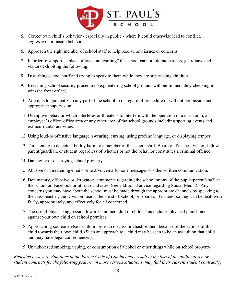

- 5. Correct own child's behavior especially in public where it could otherwise lead to conflict, aggressive, or unsafe behavior.
- 6. Approach the right member of school staff to help resolve any issues or concerns.
- 7. In order to support "a place of love and learning" the school cannot tolerate parents, guardians, and visitors exhibiting the following:
- 8. Disturbing school staff and trying to speak to them while they are supervising children.
- 9. Breaching school security procedures (e.g. entering school grounds without immediately checking in with the front office).
- 10. Attempts to gain entry to any part of the school in disregard of procedure or without permission and appropriate supervision.
- 11. Disruptive behavior which interferes or threatens to interfere with the operation of a classroom, an employee's office, office area or any other area of the school grounds including sporting events and extracurricular activities.
- 12. Using loud/or offensive language, swearing, cursing, using profane language, or displaying temper.
- 13. Threatening to do actual bodily harm to a member of the school staff, Board of Trustees, visitor, fellow parent/guardian, or student regardless of whether or not the behavior constitutes a criminal offence.
- 14. Damaging or destroying school property.
- 15. Abusive or threatening emails or text/voicemail/phone messages or other written communication.
- 16. Defamatory, offensive or derogatory comments regarding the school or any of the pupils/parent/staff, at the school on Facebook or other social sites. (see additional advice regarding Social Media). Any concerns you may have about the school must be made through the appropriate channels by speaking to the class teacher, the Division Leads, the Head of School, or Board of Trustees; so they can be dealt with fairly, appropriately, and effectively for all concerned.
- 17. The use of physical aggression towards another adult or child. This includes physical punishment against your own child on school premises.
- 18. Approaching someone else's child in order to discuss or chastise them because of the actions of this child towards their own child. (Such an approach to a child may be seen to be an assault on that child and may have legal consequences).
- 19. Unauthorized smoking, vaping, or consumption of alcohol or other drugs while on school property.

*Repeated or severe violations of the Parent Code of Conduct may result in the loss of the ability to renew student contracts for the following year, or in more serious situations, may find their current student contract(s)*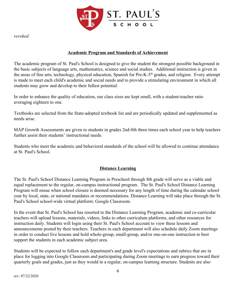

*revoked.*

## **Academic Program and Standards of Achievement**

The academic program of St. Paul's School is designed to give the student the strongest possible background in the basic subjects of language arts, mathematics, science and social studies. Additional instruction is given in the areas of fine arts, technology, physical education, Spanish for Pre-K-5<sup>th</sup> grades, and religion. Every attempt is made to meet each child's academic and social needs and to provide a stimulating environment in which all students may grow and develop to their fullest potential.

In order to enhance the quality of education, our class sizes are kept small, with a student-teacher ratio averaging eighteen to one.

Textbooks are selected from the State-adopted textbook list and are periodically updated and supplemented as needs arise.

MAP Growth Assessments are given to students in grades 2nd-8th three times each school year to help teachers further assist their students' instructional needs.

Students who meet the academic and behavioral standards of the school will be allowed to continue attendance at St. Paul's School.

# **Distance Learning**

The St. Paul's School Distance Learning Program in Preschool through 8th grade will serve as a viable and equal replacement to the regular, on-campus instructional program. The St. Paul's School Distance Learning Program will ensue when school closure is deemed necessary for any length of time during the calendar school year by local, state, or national mandates or recommendations. Distance Learning will take place through the St. Paul's School school-wide virtual platform: Google Classroom.

In the event that St. Paul's School has resorted to the Distance Learning Program, academic and co-curricular teachers will upload lessons, materials, videos, links to other curriculum platforms, and other resources for instruction daily. Students will login using their St. Paul's School account to view these lessons and announcements posted by their teachers. Teachers in each department will also schedule daily Zoom meetings in order to conduct live lessons and hold whole-group, small-group, and/or one-on-one instruction to best support the students in each academic subject area.

Students will be expected to follow each department's and grade level's expectations and rubrics that are in place for logging into Google Classroom and participating during Zoom meetings to earn progress toward their quarterly goals and grades, just as they would in a regular, on-campus learning structure. Students are also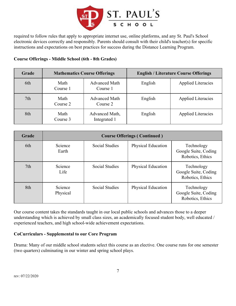

required to follow rules that apply to appropriate internet use, online platforms, and any St. Paul's School electronic devices correctly and responsibly. Parents should consult with their child's teacher(s) for specific instructions and expectations on best practices for success during the Distance Learning Program.

#### **Course Offerings - Middle School (6th - 8th Grades)**

| Grade           |                  | <b>Mathematics Course Offerings</b> | <b>English / Literature Course Offerings</b> |                           |  |
|-----------------|------------------|-------------------------------------|----------------------------------------------|---------------------------|--|
| 6th             | Math<br>Course 1 | <b>Advanced Math</b><br>Course 1    | English                                      | <b>Applied Literacies</b> |  |
| 7 <sub>th</sub> | Math<br>Course 2 | <b>Advanced Math</b><br>Course 2    | English                                      | <b>Applied Literacies</b> |  |
| 8th             | Math<br>Course 3 | Advanced Math,<br>Integrated 1      | English                                      | <b>Applied Literacies</b> |  |

| Grade           | <b>Course Offerings (Continued)</b> |                       |                           |                                                        |  |  |
|-----------------|-------------------------------------|-----------------------|---------------------------|--------------------------------------------------------|--|--|
| 6th             | Science<br>Earth                    | <b>Social Studies</b> | <b>Physical Education</b> | Technology<br>Google Suite, Coding<br>Robotics, Ethics |  |  |
| 7 <sup>th</sup> | Science<br>Life                     | <b>Social Studies</b> | <b>Physical Education</b> | Technology<br>Google Suite, Coding<br>Robotics, Ethics |  |  |
| 8th             | Science<br>Physical                 | <b>Social Studies</b> | <b>Physical Education</b> | Technology<br>Google Suite, Coding<br>Robotics, Ethics |  |  |

Our course content takes the standards taught in our local public schools and advances those to a deeper understanding which is achieved by small class sizes, an academically focused student body, well educated / experienced teachers, and high school-wide achievement expectations.

#### **CoCurriculars - Supplemental to our Core Program**

Drama: Many of our middle school students select this course as an elective. One course runs for one semester (two quarters) culminating in our winter and spring school plays.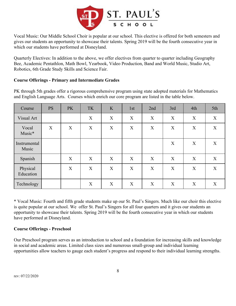

Vocal Music: Our Middle School Choir is popular at our school. This elective is offered for both semesters and gives our students an opportunity to showcase their talents. Spring 2019 will be the fourth consecutive year in which our students have performed at Disneyland.

Quarterly Electives: In addition to the above, we offer electives from quarter to quarter including Geography Bee, Academic Pentathlon, Math Bowl, Yearbook, Video Production, Band and World Music, Studio Art, Robotics, 6th Grade Study Skills and Science Fair.

#### **Course Offerings - Primary and Intermediate Grades**

PK through 5th grades offer a rigorous comprehensive program using state adopted materials for Mathematics and English Language Arts. Courses which enrich our core program are listed in the table below.

| Course                | <b>PS</b> | <b>PK</b> | TK | K                | 1st              | 2nd              | 3rd | 4th              | 5th |
|-----------------------|-----------|-----------|----|------------------|------------------|------------------|-----|------------------|-----|
| Visual Art            |           |           | X  | X                | X                | X                | X   | X                | X   |
| Vocal<br>Music*       | X         | X         | X  | X                | X                | X                | X   | X                | X   |
| Instrumental<br>Music |           |           |    |                  |                  |                  | X   | X                | X   |
| Spanish               |           | X         | X  | $\boldsymbol{X}$ | $\boldsymbol{X}$ | $\boldsymbol{X}$ | X   | $\boldsymbol{X}$ | X   |
| Physical<br>Education |           | X         | X  | X                | X                | X                | X   | X                | X   |
| Technology            |           |           | X  | X                | X                | X                | X   | X                | X   |

\* Vocal Music: Fourth and fifth grade students make up our St. Paul's Singers. Much like our choir this elective is quite popular at our school. We offer St. Paul's Singers for all four quarters and it gives our students an opportunity to showcase their talents. Spring 2019 will be the fourth consecutive year in which our students have performed at Disneyland.

#### **Course Offerings - Preschool**

Our Preschool program serves as an introduction to school and a foundation for increasing skills and knowledge in social and academic areas. Limited class sizes and numerous small-group and individual learning opportunities allow teachers to gauge each student's progress and respond to their individual learning strengths.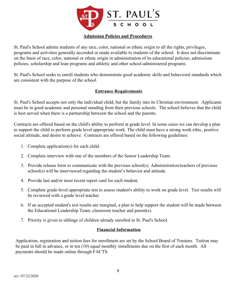

#### **Admission Policies and Procedures**

St. Paul's School admits students of any race, color, national or ethnic origin to all the rights, privileges, programs and activities generally accorded or made available to students of the school. It does not discriminate on the basis of race, color, national or ethnic origin in administration of its educational policies, admissions policies, scholarship and loan programs and athletic and other school-administered programs.

St. Paul's School seeks to enroll students who demonstrate good academic skills and behavioral standards which are consistent with the purpose of the school.

#### **Entrance Requirements**

St. Paul's School accepts not only the individual child, but the family into its Christian environment. Applicants must be in good academic and personal standing from their previous schools. The school believes that the child is best served when there is a partnership between the school and the parents.

Contracts are offered based on the child's ability to perform at grade level. In some cases we can develop a plan to support the child to perform grade level appropriate work. The child must have a strong work ethic, positive social attitude, and desire to achieve. Contracts are offered based on the following guidelines:

- 1. Complete application(s) for each child.
- 2. Complete interview with one of the members of the Senior Leadership Team.
- 3. Provide release form to communicate with the previous school(s). Administration/teachers of previous school(s) will be interviewed regarding the student's behavior and attitude.
- 4. Provide last and/or most recent report card for each student.
- 5. Complete grade-level-appropriate test to assess student's ability to work on grade level. Test results will be reviewed with a grade level teacher.
- 6. If an accepted student's test results are marginal, a plan to help support the student will be made between the Educational Leadership Team, classroom teacher and parent(s).
- 7. Priority is given to siblings of children already enrolled in St. Paul's School.

#### **Financial Information**

Application, registration and tuition fees for enrollment are set by the School Board of Trustees. Tuition may be paid in full in advance, or in ten (10) equal monthly installments due on the first of each month. All payments should be made online through FACTS.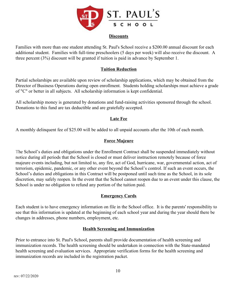

#### **Discounts**

Families with more than one student attending St. Paul's School receive a \$200.00 annual discount for each additional student. Families with full-time preschoolers (5 days per week) will also receive the discount. A three percent (3%) discount will be granted if tuition is paid in advance by September 1.

#### **Tuition Reduction**

Partial scholarships are available upon review of scholarship applications, which may be obtained from the Director of Business Operations during open enrollment. Students holding scholarships must achieve a grade of "C" or better in all subjects. All scholarship information is kept confidential.

All scholarship money is generated by donations and fund-raising activities sponsored through the school. Donations to this fund are tax deductible and are gratefully accepted.

#### **Late Fee**

A monthly delinquent fee of \$25.00 will be added to all unpaid accounts after the 10th of each month.

#### **Force Majeure**

The School's duties and obligations under the Enrollment Contract shall be suspended immediately without notice during all periods that the School is closed or must deliver instruction remotely because of force majeure events including, but not limited to, any fire, act of God, hurricane, war, governmental action, act of terrorism, epidemic, pandemic, or any other event beyond the School's control. If such an event occurs, the School's duties and obligations in this Contract will be postponed until such time as the School, in its sole discretion, may safely reopen. In the event that the School cannot reopen due to an event under this clause, the School is under no obligation to refund any portion of the tuition paid.

#### **Emergency Cards**

Each student is to have emergency information on file in the School office. It is the parents' responsibility to see that this information is updated at the beginning of each school year and during the year should there be changes in addresses, phone numbers, employment, etc.

#### **Health Screening and Immunization**

Prior to entrance into St. Paul's School, parents shall provide documentation of health screening and immunization records. The health screening should be undertaken in connection with the State-mandated health screening and evaluation services. Appropriate verification forms for the health screening and immunization records are included in the registration packet.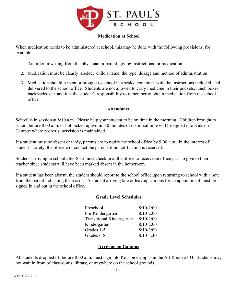

#### **Medication at School**

When medication needs to be administered at school, this may be done with the following provisions, for example:

- 1. An order in writing from the physician or parent, giving instructions for medication.
- 2. Medication must be clearly labeled: child's name, the type, dosage and method of administration.
- 3. Medication should be sent or brought to school in a sealed container, with the instructions included, and delivered to the school office. Students are not allowed to carry medicine in their pockets, lunch boxes, backpacks, etc. and it is the student's responsibility to remember to obtain medication from the school office.

#### **Attendance**

School is in session at 8:10 a.m. Please help your student to be on time in the morning. Children brought to school before 8:00 a.m. or not picked up within 10 minutes of dismissal time will be signed into Kids on Campus where proper supervision is maintained.

If a student must be absent or tardy, parents are to notify the school office by 9:00 a.m. In the interest of student's safety, the office will contact the parents if no notification is received.

Students arriving to school after 8:15 must check in at the office to receive an office pass to give to their teacher since students will have been marked absent in the homeroom.

If a student has been absent, the student should report to the school office upon returning to school with a note from the parent indicating the reason. A student arriving late or leaving campus for an appointment must be signed in and out in the school office.

#### **Grade Level Schedules**

| Preschool                        | $8:10-2:00$ |
|----------------------------------|-------------|
| Pre-Kindergarten                 | $8:10-2:00$ |
| <b>Transitional Kindergarten</b> | $8:10-2:00$ |
| Kindergarten                     | $8:10-2:00$ |
| Grades 1-5                       | $8:10-3:00$ |
| Grades 6-8                       | $8:10-3:30$ |

#### **Arriving on Campus**

All students dropped off before 8:00 a.m. must sign into Kids on Campus in the Art Room #403. Students may not wait in front of classrooms, library, or anywhere on the school grounds.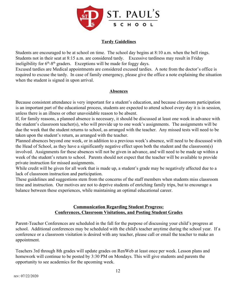

## **Tardy Guidelines**

Students are encouraged to be at school on time. The school day begins at 8:10 a.m. when the bell rings. Students not in their seat at 8:15 a.m. are considered tardy. Excessive tardiness may result in Friday ineligibility for  $6<sup>th</sup> - 8<sup>th</sup>$  graders. Exceptions will be made for foggy days.

Excused tardies are Medical appointments are considered excused tardies. A note from the doctor's office is required to excuse the tardy. In case of family emergency, please give the office a note explaining the situation when the student is signed in upon arrival.

#### **Absences**

Because consistent attendance is very important for a student's education, and because classroom participation is an important part of the educational process, students are expected to attend school every day it is in session, unless there is an illness or other unavoidable reason to be absent.

If, for family reasons, a planned absence is necessary, it should be discussed at least one week in advance with the student's classroom teacher(s), who will provide up to one week's assignments. The assignments will be due the week that the student returns to school, as arranged with the teacher. Any missed tests will need to be taken upon the student's return, as arranged with the teacher.

Planned absences beyond one week, or in addition to a previous week's absence, will need to be discussed with the Head of School, as they have a significantly negative effect upon both the student and the classroom(s) involved. Assignments for these absences will not be given in advance, and will need to be made up within a week of the student's return to school. Parents should not expect that the teacher will be available to provide private instruction for missed assignments.

While credit will be given for all work that is made up, a student's grade may be negatively affected due to a lack of classroom instruction and participation.

These guidelines and suggestions stem from the concerns of the staff members when students miss classroom time and instruction. Our motives are not to deprive students of enriching family trips, but to encourage a balance between these experiences, while maintaining an optimal educational career.

#### **Communication Regarding Student Progress: Conferences, Classroom Visitations, and Posting Student Grades**

Parent-Teacher Conferences are scheduled in the fall for the purpose of discussing your child's progress at school. Additional conferences may be scheduled with the child's teacher anytime during the school year. If a conference or a classroom visitation is desired with any teacher, please call or email the teacher to make an appointment.

Teachers 3rd through 8th grades will update grades on RenWeb at least once per week. Lesson plans and homework will continue to be posted by 3:30 PM on Mondays. This will give students and parents the opportunity to see academics for the upcoming week.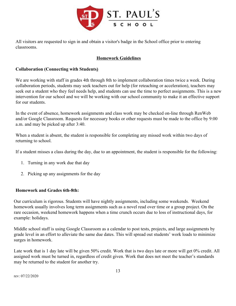

All visitors are requested to sign in and obtain a visitor's badge in the School office prior to entering classrooms.

## **Homework Guidelines**

#### **Collaboration (Connecting with Students)**

We are working with staff in grades 4th through 8th to implement collaboration times twice a week. During collaboration periods, students may seek teachers out for help (for reteaching or acceleration), teachers may seek out a student who they feel needs help, and students can use the time to perfect assignments. This is a new intervention for our school and we will be working with our school community to make it an effective support for our students.

In the event of absence, homework assignments and class work may be checked on-line through RenWeb and/or Google Classroom. Requests for necessary books or other requests must be made to the office by 9:00 a.m. and may be picked up after 3:40.

When a student is absent, the student is responsible for completing any missed work within two days of returning to school.

If a student misses a class during the day, due to an appointment, the student is responsible for the following:

- 1. Turning in any work due that day
- 2. Picking up any assignments for the day

#### **Homework and Grades 6th-8th:**

Our curriculum is rigorous. Students will have nightly assignments, including some weekends. Weekend homework usually involves long term assignments such as a novel read over time or a group project. On the rare occasion, weekend homework happens when a time crunch occurs due to loss of instructional days, for example: holidays.

Middle school staff is using Google Classroom as a calendar to post tests, projects, and large assignments by grade level in an effort to alleviate the same due dates. This will spread out students' work loads to minimize surges in homework.

Late work that is 1 day late will be given 50% credit. Work that is two days late or more will get 0% credit. All assigned work must be turned in, regardless of credit given. Work that does not meet the teacher's standards may be returned to the student for another try.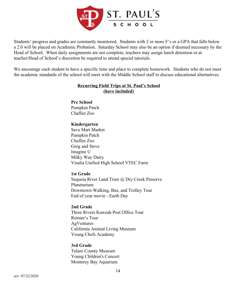

Students' progress and grades are constantly monitored. Students with 2 or more F's or a GPA that falls below a 2.0 will be placed on Academic Probation. Saturday School may also be an option if deemed necessary by the Head of School. When daily assignments are not complete, teachers may assign lunch detention or at teacher/Head of School's discretion be required to attend special tutorials.

We encourage each student to have a specific time and place to complete homework. Students who do not meet the academic standards of the school will meet with the Middle School staff to discuss educational alternatives.

## **Recurring Field Trips at St. Paul's School (have included)**

**Pre School** Pumpkin Patch Chaffee Zoo

# **Kindergarten**

Save Mart Market Pumpkin Patch Chaffee Zoo Greg and Steve Imagine U Milky Way Dairy Visalia Unified High School VTEC Farm

#### **1st Grade**

Sequoia River Land Trust @ Dry Creek Preserve Planetarium Downtown Walking, Bus, and Trolley Tour End of year movie - Earth Day

#### **2nd Grade**

Three Rivers Kaweah Post Office Tour Reimer's Tour AgVentures California Animal Living Museum Young Chefs Academy

#### **3rd Grade**

Tulare County Museum Young Children's Concert Monterey Bay Aquarium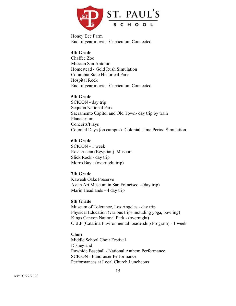

Honey Bee Farm End of year movie - Curriculum Connected

#### **4th Grade**

Chaffee Zoo Mission San Antonio Homestead - Gold Rush Simulation Columbia State Historical Park Hospital Rock End of year movie - Curriculum Connected

#### **5th Grade**

SCICON - day trip Sequoia National Park Sacramento Capitol and Old Town- day trip by train Planetarium Concerts/Plays Colonial Days (on campus)- Colonial Time Period Simulation

#### **6th Grade**

SCICON - 1 week Rosicrucian (Egyptian) Museum Slick Rock - day trip Morro Bay - (overnight trip)

#### **7th Grade**

Kaweah Oaks Preserve Asian Art Museum in San Francisco - (day trip) Marin Headlands - 4 day trip

#### **8th Grade**

Museum of Tolerance, Los Angeles - day trip Physical Education (various trips including yoga, bowling) Kings Canyon National Park - (overnight) CELP (Catalina Environmental Leadership Program) - 1 week

#### **Choir**

Middle School Choir Festival Disneyland Rawhide Baseball - National Anthem Performance SCICON - Fundraiser Performance Performances at Local Church Luncheons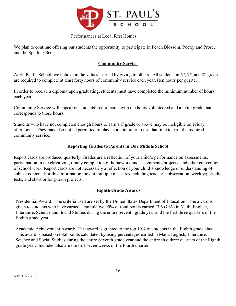

#### Performances at Local Rest Homes

We plan to continue offering our students the opportunity to participate in Peach Blossom, Poetry and Prose, and the Spelling Bee.

## **Community Service**

At St. Paul's School, we believe in the values learned by giving to others. All students in  $6<sup>th</sup>$ ,  $7<sup>th</sup>$ , and  $8<sup>th</sup>$  grade are required to complete at least forty hours of community service each year. (ten hours per quarter).

In order to receive a diploma upon graduating, students must have completed the minimum number of hours each year.

Community Service will appear on students' report cards with the hours volunteered and a letter grade that corresponds to those hours.

Students who have not completed enough hours to earn a C grade or above may be ineligible on Friday afternoons. They may also not be permitted to play sports in order to use that time to earn the required community service.

## **Reporting Grades to Parents in Our Middle School**

Report cards are produced quarterly. Grades are a reflection of your child's performance on assessments, participation in the classroom, timely completion of homework and assignments/projects, and other conventions of school work. Report cards are not necessarily a reflection of your child's knowledge or understanding of subject content. For this information look at multiple measures including teacher's observation, weekly/periodic tests, and short or long-term projects.

# **Eighth Grade Awards**

Presidential Award: The criteria used are set by the United States Department of Education. The award is given to students who have earned a cumulative 90% of total points earned (3.6 GPA) in Math, English, Literature, Science and Social Studies during the entire Seventh grade year and the first three quarters of the Eighth grade year.

Academic Achievement Award: This award is granted to the top 10% of students in the Eighth grade class. This award is based on total points calculated by using percentages earned in Math, English, Literature, Science and Social Studies during the entire Seventh grade year and the entire first three quarters of the Eighth grade year. Included also are the first seven weeks of the fourth quarter.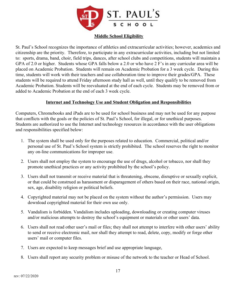

## **Middle School Eligibility**

St. Paul's School recognizes the importance of athletics and extracurricular activities; however, academics and citizenship are the priority. Therefore, to participate in any extracurricular activities, including but not limited to: sports, drama, band, choir, field trips, dances, after school clubs and competitions, students will maintain a GPA of 2.0 or higher. Students whose GPA falls below a 2.0 or who have 2 F's in any curricular area will be placed on Academic Probation. Students will remain on Academic Probation for a 3 week cycle. During this time, students will work with their teachers and use collaboration time to improve their grades/GPA. These students will be required to attend Friday afternoon study hall as well, until they qualify to be removed from Academic Probation. Students will be reevaluated at the end of each cycle. Students may be removed from or added to Academic Probation at the end of each 3 week cycle.

#### **Internet and Technology Use and Student Obligation and Responsibilities**

Computers, Chromebooks and iPads are to be used for school business and may not be used for any purpose that conflicts with the goals or the policies of St. Paul's School, for illegal, or for unethical purposes. Students are authorized to use the Internet and technology resources in accordance with the user obligations and responsibilities specified below:

- 1. The system shall be used only for the purposes related to education. Commercial, political and/or personal use of St. Paul's School system is strictly prohibited. The school reserves the right to monitor any on-line communications for improper use.
- 2. Users shall not employ the system to encourage the use of drugs, alcohol or tobacco, nor shall they promote unethical practices or any activity prohibited by the school's policy.
- 3. Users shall not transmit or receive material that is threatening, obscene, disruptive or sexually explicit, or that could be construed as harassment or disparagement of others based on their race, national origin, sex, age, disability religion or political beliefs.
- 4. Copyrighted material may not be placed on the system without the author's permission. Users may download copyrighted material for their own use only.
- 5. Vandalism is forbidden. Vandalism includes uploading, downloading or creating computer viruses and/or malicious attempts to destroy the school's equipment or materials or other users' data.
- 6. Users shall not read other user's mail or files; they shall not attempt to interfere with other users' ability to send or receive electronic mail, nor shall they attempt to read, delete, copy, modify or forge other users' mail or computer files.
- 7. Users are expected to keep messages brief and use appropriate language,
- 8. Users shall report any security problem or misuse of the network to the teacher or Head of School.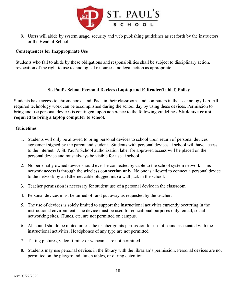

9. Users will abide by system usage, security and web publishing guidelines as set forth by the instructors or the Head of School.

#### **Consequences for Inappropriate Use**

Students who fail to abide by these obligations and responsibilities shall be subject to disciplinary action, revocation of the right to use technological resources and legal action as appropriate.

#### **St. Paul's School Personal Devices (Laptop and E-Reader/Tablet) Policy**

Students have access to chromebooks and iPads in their classrooms and computers in the Technology Lab. All required technology work can be accomplished during the school day by using these devices. Permission to bring and use personal devices is contingent upon adherence to the following guidelines. **Students are not required to bring a laptop computer to school.**

#### **Guidelines**

- 1. Students will only be allowed to bring personal devices to school upon return of personal devices agreement signed by the parent and student. Students with personal devices at school will have access to the internet. A St. Paul's School authorization label for approved access will be placed on the personal device and must always be visible for use at school.
- 2. No personally owned device should ever be connected by cable to the school system network. This network access is through the **wireless connection only.** No one is allowed to connect a personal device to the network by an Ethernet cable plugged into a wall jack in the school.
- 3. Teacher permission is necessary for student use of a personal device in the classroom.
- 4. Personal devices must be turned off and put away as requested by the teacher.
- 5. The use of devices is solely limited to support the instructional activities currently occurring in the instructional environment. The device must be used for educational purposes only; email, social networking sites, iTunes, etc. are not permitted on campus.
- 6. All sound should be muted unless the teacher grants permission for use of sound associated with the instructional activities. Headphones of any type are not permitted.
- 7. Taking pictures, video filming or webcams are not permitted.
- 8. Students may use personal devices in the library with the librarian's permission. Personal devices are not permitted on the playground, lunch tables, or during detention.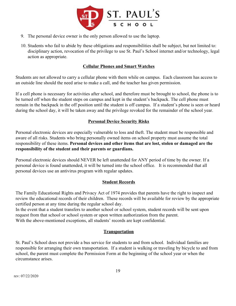

- 9. The personal device owner is the only person allowed to use the laptop.
- 10. Students who fail to abide by these obligations and responsibilities shall be subject, but not limited to: disciplinary action, revocation of the privilege to use St. Paul's School internet and/or technology, legal action as appropriate.

## **Cellular Phones and Smart Watches**

Students are not allowed to carry a cellular phone with them while on campus. Each classroom has access to an outside line should the need arise to make a call, and the teacher has given permission.

If a cell phone is necessary for activities after school, and therefore must be brought to school, the phone is to be turned off when the student steps on campus and kept in the student's backpack. The cell phone must remain in the backpack in the off position until the student is off campus. If a student's phone is seen or heard during the school day, it will be taken away and the privilege revoked for the remainder of the school year.

#### **Personal Device Security Risks**

Personal electronic devices are especially vulnerable to loss and theft. The student must be responsible and aware of all risks. Students who bring personally owned items on school property must assume the total responsibility of these items. **Personal devices and other items that are lost, stolen or damaged are the responsibility of the student and their parents or guardians.**

Personal electronic devices should NEVER be left unattended for ANY period of time by the owner. If a personal device is found unattended, it will be turned into the school office. It is recommended that all personal devices use an antivirus program with regular updates.

#### **Student Records**

The Family Educational Rights and Privacy Act of 1974 provides that parents have the right to inspect and review the educational records of their children. These records will be available for review by the appropriate certified person at any time during the regular school day.

In the event that a student transfers to another school or school system, student records will be sent upon request from that school or school system or upon written authorization from the parent. With the above-mentioned exceptions, all students' records are kept confidential.

#### **Transportation**

St. Paul's School does not provide a bus service for students to and from school. Individual families are responsible for arranging their own transportation. If a student is walking or traveling by bicycle to and from school, the parent must complete the Permission Form at the beginning of the school year or when the circumstance arises.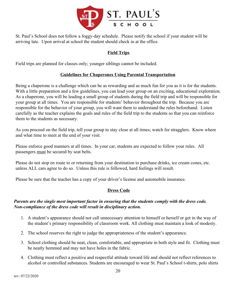

St. Paul's School does not follow a foggy-day schedule. Please notify the school if your student will be arriving late. Upon arrival at school the student should check in at the office.

# **Field Trips**

Field trips are planned for classes only; younger siblings cannot be included.

## **Guidelines for Chaperones Using Parental Transportation**

Being a chaperone is a challenge which can be as rewarding and as much fun for you as it is for the students. With a little preparation and a few guidelines, you can lead your group on an exciting, educational exploration. As a chaperone, you will be leading a small group of students during the field trip and will be responsible for your group at all times. You are responsible for students' behavior throughout the trip. Because you are responsible for the behavior of your group, you will want them to understand the rules beforehand. Listen carefully as the teacher explains the goals and rules of the field trip to the students so that you can reinforce them to the students as necessary.

As you proceed on the field trip, tell your group to stay close at all times; watch for stragglers. Know where and what time to meet at the end of your visit.

Please enforce good manners at all times. In your car, students are expected to follow your rules. All passengers must be secured by seat belts.

Please do not stop en route to or returning from your destination to purchase drinks, ice cream cones, etc. unless ALL cars agree to do so. Unless this rule is followed, hard feelings will result.

Please be sure that the teacher has a copy of your driver's license and automobile insurance.

#### **Dress Code**

#### *Parents are the single most important factor in ensuring that the students comply with the dress code. Non-compliance of the dress code will result in disciplinary action.*

- 1. A student's appearance should not call unnecessary attention to himself or herself or get in the way of the student's primary responsibility of classroom work. All clothing must maintain a look of modesty.
- 2. The school reserves the right to judge the appropriateness of the student's appearance.
- 3. School clothing should be neat, clean, comfortable, and appropriate in both style and fit. Clothing must be neatly hemmed and may not have holes in the fabric.
- 4. Clothing must reflect a positive and respectful attitude toward life and should not reflect references to alcohol or controlled substances. Students are encouraged to wear St. Paul's School t-shirts, polo shirts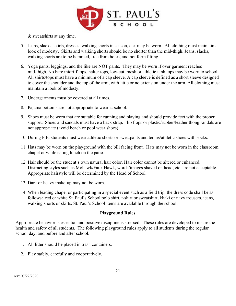

& sweatshirts at any time.

- 5. Jeans, slacks, skirts, dresses, walking shorts in season, etc. may be worn. All clothing must maintain a look of modesty. Skirts and walking shorts should be no shorter than the mid-thigh. Jeans, slacks, walking shorts are to be hemmed, free from holes, and not form fitting.
- 6. Yoga pants, leggings, and the like are NOT pants. They may be worn if over garment reaches mid-thigh. No bare midriff tops, halter tops, low-cut, mesh or athletic tank tops may be worn to school. All shirts/tops must have a minimum of a cap sleeve. A cap sleeve is defined as a short sleeve designed to cover the shoulder and the top of the arm, with little or no extension under the arm. All clothing must maintain a look of modesty.
- 7. Undergarments must be covered at all times.
- 8. Pajama bottoms are not appropriate to wear at school.
- 9. Shoes must be worn that are suitable for running and playing and should provide feet with the proper support. Shoes and sandals must have a back strap. Flip flops or plastic/rubber/leather thong sandals are not appropriate (avoid beach or pool wear shoes).
- 10. During P.E. students must wear athletic shorts or sweatpants and tennis/athletic shoes with socks.
- 11. Hats may be worn on the playground with the bill facing front. Hats may not be worn in the classroom, chapel or while eating lunch on the patio.
- 12. Hair should be the student's own natural hair color. Hair color cannot be altered or enhanced. Distracting styles such as Mohawk/Faux Hawk, words/images shaved on head, etc. are not acceptable. Appropriate hairstyle will be determined by the Head of School.
- 13. Dark or heavy make-up may not be worn.
- 14. When leading chapel or participating in a special event such as a field trip, the dress code shall be as follows: red or white St. Paul's School polo shirt, t-shirt or sweatshirt, khaki or navy trousers, jeans, walking shorts or skirts. St. Paul's School items are available through the school.

#### **Playground Rules**

Appropriate behavior is essential and positive discipline is stressed. These rules are developed to insure the health and safety of all students. The following playground rules apply to all students during the regular school day, and before and after school.

- 1. All litter should be placed in trash containers.
- 2. Play safely, carefully and cooperatively.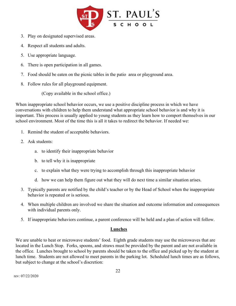

- 3. Play on designated supervised areas.
- 4. Respect all students and adults.
- 5. Use appropriate language.
- 6. There is open participation in all games.
- 7. Food should be eaten on the picnic tables in the patio area or playground area.
- 8. Follow rules for all playground equipment.

(Copy available in the school office.)

When inappropriate school behavior occurs, we use a positive discipline process in which we have conversations with children to help them understand what appropriate school behavior is and why it is important. This process is usually applied to young students as they learn how to comport themselves in our school environment. Most of the time this is all it takes to redirect the behavior. If needed we:

- 1. Remind the student of acceptable behaviors.
- 2. Ask students:
	- a. to identify their inappropriate behavior
	- b. to tell why it is inappropriate
	- c. to explain what they were trying to accomplish through this inappropriate behavior
	- d. how we can help them figure out what they will do next time a similar situation arises.
- 3. Typically parents are notified by the child's teacher or by the Head of School when the inappropriate behavior is repeated or is serious.
- 4. When multiple children are involved we share the situation and outcome information and consequences with individual parents only.
- 5. If inappropriate behaviors continue, a parent conference will be held and a plan of action will follow.

#### **Lunches**

We are unable to heat or microwave students' food. Eighth grade students may use the microwaves that are located in the Lunch Stop. Forks, spoons, and straws must be provided by the parent and are not available in the office. Lunches brought to school by parents should be taken to the office and picked up by the student at lunch time. Students are not allowed to meet parents in the parking lot. Scheduled lunch times are as follows, but subject to change at the school's discretion: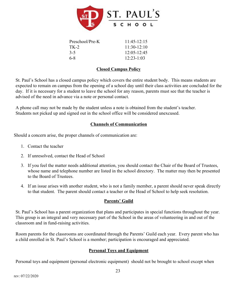

| Preschool/Pre-K | $11.45 - 12.15$ |
|-----------------|-----------------|
| TK-2            | $11.30 - 12.10$ |
| $3-5$           | $12:05 - 12:45$ |
| 6-8             | $12:23-1:03$    |

## **Closed Campus Policy**

St. Paul's School has a closed campus policy which covers the entire student body. This means students are expected to remain on campus from the opening of a school day until their class activities are concluded for the day. If it is necessary for a student to leave the school for any reason, parents must see that the teacher is advised of the need in advance via a note or personal contact.

A phone call may not be made by the student unless a note is obtained from the student's teacher. Students not picked up and signed out in the school office will be considered unexcused.

# **Channels of Communication**

Should a concern arise, the proper channels of communication are:

- 1. Contact the teacher
- 2. If unresolved, contact the Head of School
- 3. If you feel the matter needs additional attention, you should contact the Chair of the Board of Trustees, whose name and telephone number are listed in the school directory. The matter may then be presented to the Board of Trustees.
- 4. If an issue arises with another student, who is not a family member, a parent should never speak directly to that student. The parent should contact a teacher or the Head of School to help seek resolution.

# **Parents' Guild**

St. Paul's School has a parent organization that plans and participates in special functions throughout the year. This group is an integral and very necessary part of the School in the areas of volunteering in and out of the classroom and in fund-raising activities.

Room parents for the classrooms are coordinated through the Parents' Guild each year. Every parent who has a child enrolled in St. Paul's School is a member; participation is encouraged and appreciated.

#### **Personal Toys and Equipment**

Personal toys and equipment (personal electronic equipment) should not be brought to school except when